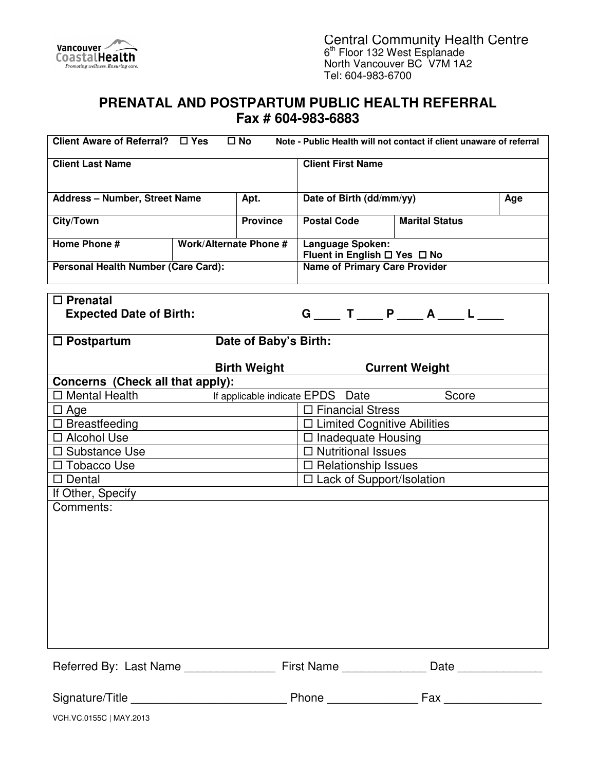

Central Community Health Centre 6<sup>th</sup> Floor 132 West Esplanade North Vancouver BC V7M 1A2 Tel: 604-983-6700

## **PRENATAL AND POSTPARTUM PUBLIC HEALTH REFERRAL Fax # 604-983-6883**

| Client Aware of Referral? □ Yes            |                                           | $\square$ No        |                                                  | Note - Public Health will not contact if client unaware of referral |  |  |
|--------------------------------------------|-------------------------------------------|---------------------|--------------------------------------------------|---------------------------------------------------------------------|--|--|
| <b>Client Last Name</b>                    |                                           |                     | <b>Client First Name</b>                         |                                                                     |  |  |
|                                            |                                           |                     |                                                  |                                                                     |  |  |
| <b>Address - Number, Street Name</b>       |                                           | Apt.                | Date of Birth (dd/mm/yy)<br>Age                  |                                                                     |  |  |
| <b>City/Town</b>                           |                                           | <b>Province</b>     | <b>Postal Code</b>                               | <b>Marital Status</b>                                               |  |  |
| Home Phone #                               | <b>Work/Alternate Phone #</b>             |                     | Language Spoken:<br>Fluent in English □ Yes □ No |                                                                     |  |  |
| Personal Health Number (Care Card):        |                                           |                     | <b>Name of Primary Care Provider</b>             |                                                                     |  |  |
| $\square$ Prenatal                         |                                           |                     |                                                  |                                                                     |  |  |
| <b>Expected Date of Birth:</b>             |                                           |                     |                                                  | $G$ ___ T ___ P ___ A ___ L ___                                     |  |  |
| Date of Baby's Birth:<br>$\Box$ Postpartum |                                           |                     |                                                  |                                                                     |  |  |
|                                            |                                           | <b>Birth Weight</b> |                                                  | <b>Current Weight</b>                                               |  |  |
| Concerns (Check all that apply):           |                                           |                     |                                                  |                                                                     |  |  |
| $\Box$ Mental Health                       | Score<br>If applicable indicate EPDS Date |                     |                                                  |                                                                     |  |  |
| $\Box$ Age                                 |                                           |                     | $\Box$ Financial Stress                          |                                                                     |  |  |
| $\Box$ Breastfeeding                       |                                           |                     | $\Box$ Limited Cognitive Abilities               |                                                                     |  |  |
| □ Alcohol Use                              |                                           |                     | $\Box$ Inadequate Housing                        |                                                                     |  |  |
| $\Box$ Substance Use                       |                                           |                     | $\Box$ Nutritional Issues                        |                                                                     |  |  |
| □ Tobacco Use                              |                                           |                     | □ Relationship Issues                            |                                                                     |  |  |
| $\Box$ Dental                              |                                           |                     | $\Box$ Lack of Support/Isolation                 |                                                                     |  |  |
| If Other, Specify                          |                                           |                     |                                                  |                                                                     |  |  |
| Comments:                                  |                                           |                     |                                                  |                                                                     |  |  |
|                                            |                                           |                     |                                                  |                                                                     |  |  |
|                                            |                                           |                     |                                                  |                                                                     |  |  |
|                                            |                                           |                     |                                                  |                                                                     |  |  |
|                                            |                                           |                     |                                                  |                                                                     |  |  |
|                                            |                                           |                     |                                                  |                                                                     |  |  |
|                                            |                                           |                     |                                                  |                                                                     |  |  |
|                                            |                                           |                     |                                                  |                                                                     |  |  |
|                                            |                                           |                     |                                                  |                                                                     |  |  |
|                                            |                                           |                     |                                                  |                                                                     |  |  |
|                                            |                                           |                     |                                                  |                                                                     |  |  |
|                                            |                                           |                     |                                                  | Date                                                                |  |  |
|                                            |                                           |                     |                                                  |                                                                     |  |  |